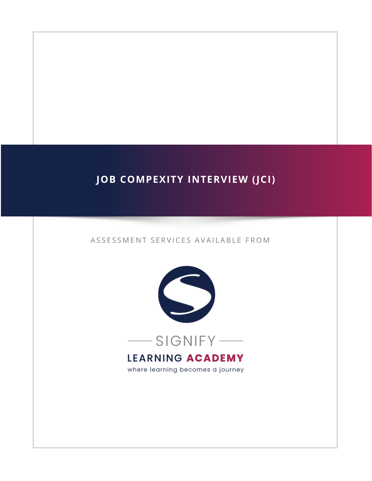# **JOB COMPEXITY INTERVIEW (JCI)**

#### ASSESSMENT SERVICES AVAILABLE FROM



where learning becomes a journey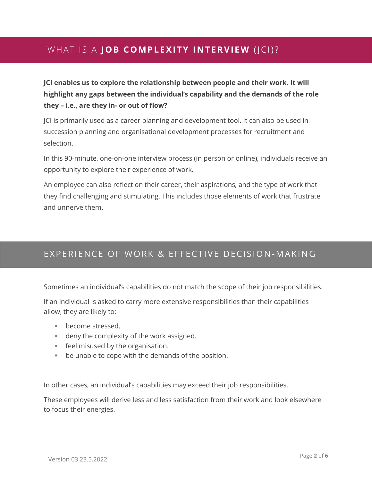## WHAT IS A **JOB COMPLEXITY INTERVIEW** (JCI)?

**JCI enables us to explore the relationship between people and their work. It will highlight any gaps between the individual's capability and the demands of the role they – i.e., are they in- or out of flow?**

JCI is primarily used as a career planning and development tool. It can also be used in succession planning and organisational development processes for recruitment and selection.

In this 90-minute, one-on-one interview process (in person or online), individuals receive an opportunity to explore their experience of work.

An employee can also reflect on their career, their aspirations, and the type of work that they find challenging and stimulating. This includes those elements of work that frustrate and unnerve them.

### EXPERIENCE OF WORK & EFFECTIVE DECISION-MAKING

Sometimes an individual's capabilities do not match the scope of their job responsibilities.

If an individual is asked to carry more extensive responsibilities than their capabilities allow, they are likely to:

- become stressed.
- deny the complexity of the work assigned.
- feel misused by the organisation.
- be unable to cope with the demands of the position.

In other cases, an individual's capabilities may exceed their job responsibilities.

These employees will derive less and less satisfaction from their work and look elsewhere to focus their energies.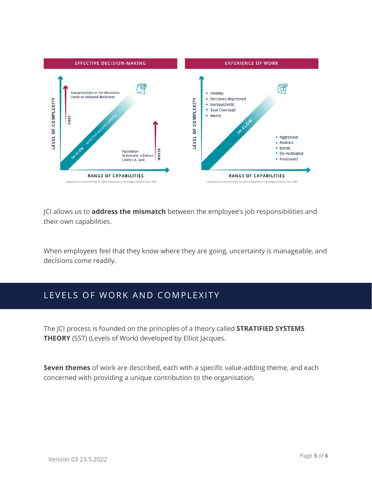

JCI allows us to **address the mismatch** between the employee's job responsibilities and their own capabilities.

When employees feel that they know where they are going, uncertainty is manageable, and decisions come readily.

## LEVELS OF WORK AND COMPLEXITY

The JCI process is founded on the principles of a theory called **STRATIFIED SYSTEMS THEORY** (SST) (Levels of Work) developed by Elliot Jacques.

**Seven themes** of work are described, each with a specific value-adding theme, and each concerned with providing a unique contribution to the organisation.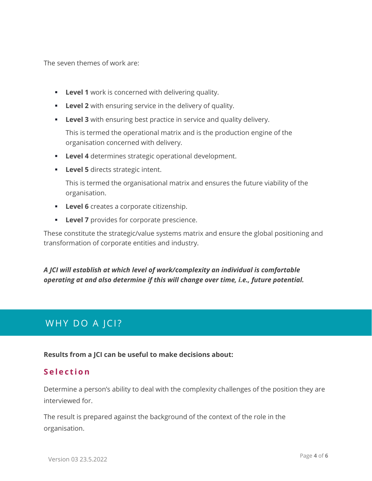The seven themes of work are:

- **Example 1** work is concerned with delivering quality.
- **Example 2** with ensuring service in the delivery of quality.
- **Level 3** with ensuring best practice in service and quality delivery.

This is termed the operational matrix and is the production engine of the organisation concerned with delivery.

- **Eevel 4** determines strategic operational development.
- **Example 15** directs strategic intent.

This is termed the organisational matrix and ensures the future viability of the organisation.

- **Level 6** creates a corporate citizenship.
- **Level 7** provides for corporate prescience.

These constitute the strategic/value systems matrix and ensure the global positioning and transformation of corporate entities and industry.

### *A JCI will establish at which level of work/complexity an individual is comfortable operating at and also determine if this will change over time, i.e., future potential.*

## WHY DO A JCI?

**Results from a JCI can be useful to make decisions about:**

### **S e l e c t i o n**

Determine a person's ability to deal with the complexity challenges of the position they are interviewed for.

The result is prepared against the background of the context of the role in the organisation.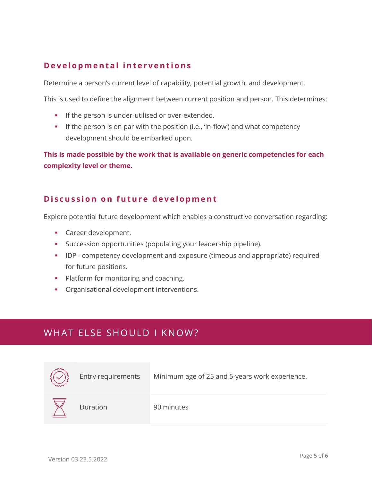### **D e v e l o p m e n t a l i n t e r v e n t i o n s**

Determine a person's current level of capability, potential growth, and development.

This is used to define the alignment between current position and person. This determines:

- **.** If the person is under-utilised or over-extended.
- **•** If the person is on par with the position (i.e., 'in-flow') and what competency development should be embarked upon.

**This is made possible by the work that is available on generic competencies for each complexity level or theme.**

### **Discussion on future development**

Explore potential future development which enables a constructive conversation regarding:

- **•** Career development.
- Succession opportunities (populating your leadership pipeline).
- **IDP** competency development and exposure (timeous and appropriate) required for future positions.
- **•** Platform for monitoring and coaching.
- **•** Organisational development interventions.

## WHAT ELSE SHOULD I KNOW?

| Entry requirements | Minimum age of 25 and 5-years work experience. |
|--------------------|------------------------------------------------|
| Duration           | 90 minutes                                     |